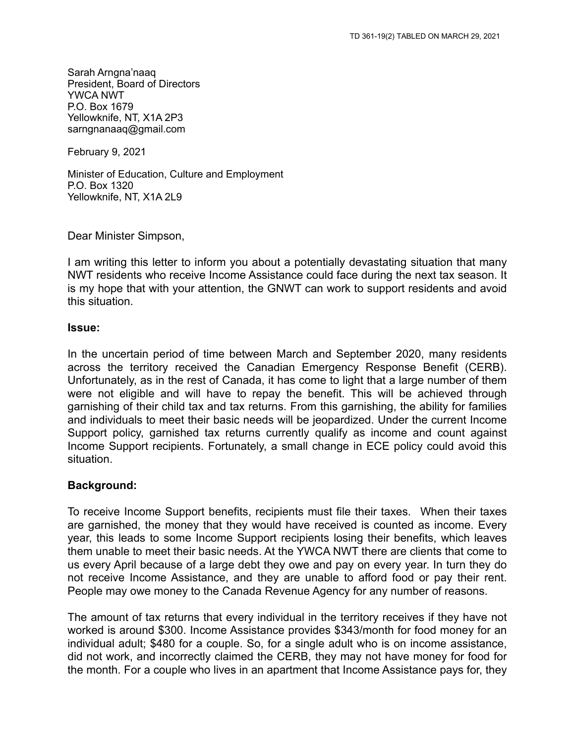Sarah Arngna'naaq President, Board of Directors YWCA NWT P.O. Box 1679 Yellowknife, NT, X1A 2P3 sarngnanaaq@gmail.com

February 9, 2021

Minister of Education, Culture and Employment P.O. Box 1320 Yellowknife, NT, X1A 2L9

Dear Minister Simpson,

I am writing this letter to inform you about a potentially devastating situation that many NWT residents who receive Income Assistance could face during the next tax season. It is my hope that with your attention, the GNWT can work to support residents and avoid this situation.

## **Issue:**

In the uncertain period of time between March and September 2020, many residents across the territory received the Canadian Emergency Response Benefit (CERB). Unfortunately, as in the rest of Canada, it has come to light that a large number of them were not eligible and will have to repay the benefit. This will be achieved through garnishing of their child tax and tax returns. From this garnishing, the ability for families and individuals to meet their basic needs will be jeopardized. Under the current Income Support policy, garnished tax returns currently qualify as income and count against Income Support recipients. Fortunately, a small change in ECE policy could avoid this situation.

## **Background:**

To receive Income Support benefits, recipients must file their taxes. When their taxes are garnished, the money that they would have received is counted as income. Every year, this leads to some Income Support recipients losing their benefits, which leaves them unable to meet their basic needs. At the YWCA NWT there are clients that come to us every April because of a large debt they owe and pay on every year. In turn they do not receive Income Assistance, and they are unable to afford food or pay their rent. People may owe money to the Canada Revenue Agency for any number of reasons.

The amount of tax returns that every individual in the territory receives if they have not worked is around \$300. Income Assistance provides \$343/month for food money for an individual adult; \$480 for a couple. So, for a single adult who is on income assistance, did not work, and incorrectly claimed the CERB, they may not have money for food for the month. For a couple who lives in an apartment that Income Assistance pays for, they